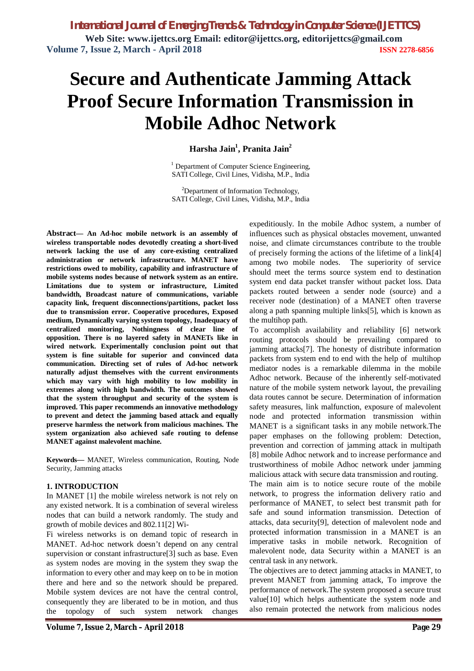# **Secure and Authenticate Jamming Attack Proof Secure Information Transmission in Mobile Adhoc Network**

# **Harsha Jain<sup>1</sup> , Pranita Jain<sup>2</sup>**

 $<sup>1</sup>$  Department of Computer Science Engineering,</sup> SATI College, Civil Lines, Vidisha, M.P., India

<sup>2</sup>Department of Information Technology, SATI College, Civil Lines, Vidisha, M.P., India

**Abstract***—* **An Ad-hoc mobile network is an assembly of wireless transportable nodes devotedly creating a short-lived network lacking the use of any core-existing centralized administration or network infrastructure. MANET have restrictions owed to mobility, capability and infrastructure of mobile systems nodes because of network system as an entire. Limitations due to system or infrastructure, Limited bandwidth, Broadcast nature of communications, variable capacity link, frequent disconnections/partitions, packet loss due to transmission error. Cooperative procedures, Exposed medium, Dynamically varying system topology, Inadequacy of centralized monitoring, Nothingness of clear line of opposition. There is no layered safety in MANETs like in wired network. Experimentally conclusion point out that system is fine suitable for superior and convinced data communication. Directing set of rules of Ad-hoc network naturally adjust themselves with the current environments which may vary with high mobility to low mobility in extremes along with high bandwidth. The outcomes showed that the system throughput and security of the system is improved. This paper recommends an innovative methodology to prevent and detect the jamming based attack and equally preserve harmless the network from malicious machines. The system organization also achieved safe routing to defense MANET against malevolent machine.**

**Keywords—** MANET, Wireless communication, Routing, Node Security, Jamming attacks

## **1. INTRODUCTION**

In MANET [1] the mobile wireless network is not rely on any existed network. It is a combination of several wireless nodes that can build a network randomly. The study and growth of mobile devices and 802.11[2] Wi-

Fi wireless networks is on demand topic of research in MANET. Ad-hoc network doesn't depend on any central supervision or constant infrastructure[3] such as base. Even as system nodes are moving in the system they swap the information to every other and may keep on to be in motion there and here and so the network should be prepared. Mobile system devices are not have the central control, consequently they are liberated to be in motion, and thus the topology of such system network changes

expeditiously. In the mobile Adhoc system, a number of influences such as physical obstacles movement, unwanted noise, and climate circumstances contribute to the trouble of precisely forming the actions of the lifetime of a link[4] among two mobile nodes. The superiority of service should meet the terms source system end to destination system end data packet transfer without packet loss. Data packets routed between a sender node (source) and a receiver node (destination) of a MANET often traverse along a path spanning multiple links[5], which is known as the multihop path.

To accomplish availability and reliability [6] network routing protocols should be prevailing compared to jamming attacks[7]. The honesty of distribute information packets from system end to end with the help of multihop mediator nodes is a remarkable dilemma in the mobile Adhoc network. Because of the inherently self-motivated nature of the mobile system network layout, the prevailing data routes cannot be secure. Determination of information safety measures, link malfunction, exposure of malevolent node and protected information transmission within MANET is a significant tasks in any mobile network.The paper emphases on the following problem: Detection, prevention and correction of jamming attack in multipath [8] mobile Adhoc network and to increase performance and trustworthiness of mobile Adhoc network under jamming malicious attack with secure data transmission and routing.

The main aim is to notice secure route of the mobile network, to progress the information delivery ratio and performance of MANET, to select best transmit path for safe and sound information transmission. Detection of attacks, data security[9], detection of malevolent node and protected information transmission in a MANET is an imperative tasks in mobile network. Recognition of malevolent node, data Security within a MANET is an central task in any network.

The objectives are to detect jamming attacks in MANET, to prevent MANET from jamming attack, To improve the performance of network.The system proposed a secure trust value<sup>[10]</sup> which helps authenticate the system node and also remain protected the network from malicious nodes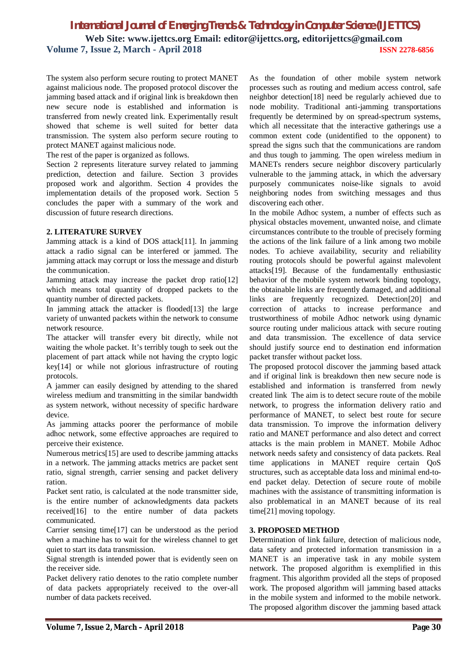The system also perform secure routing to protect MANET against malicious node. The proposed protocol discover the jamming based attack and if original link is breakdown then new secure node is established and information is transferred from newly created link. Experimentally result showed that scheme is well suited for better data transmission. The system also perform secure routing to protect MANET against malicious node.

The rest of the paper is organized as follows.

Section 2 represents literature survey related to jamming prediction, detection and failure. Section 3 provides proposed work and algorithm. Section 4 provides the implementation details of the proposed work. Section 5 concludes the paper with a summary of the work and discussion of future research directions.

## **2. LITERATURE SURVEY**

Jamming attack is a kind of DOS attack[11]. In jamming attack a radio signal can be interfered or jammed. The jamming attack may corrupt or loss the message and disturb the communication.

Jamming attack may increase the packet drop ratio[12] which means total quantity of dropped packets to the quantity number of directed packets.

In jamming attack the attacker is flooded[13] the large variety of unwanted packets within the network to consume network resource.

The attacker will transfer every bit directly, while not waiting the whole packet. It's terribly tough to seek out the placement of part attack while not having the crypto logic key[14] or while not glorious infrastructure of routing protocols.

A jammer can easily designed by attending to the shared wireless medium and transmitting in the similar bandwidth as system network, without necessity of specific hardware device.

As jamming attacks poorer the performance of mobile adhoc network, some effective approaches are required to perceive their existence.

Numerous metrics[15] are used to describe jamming attacks in a network. The jamming attacks metrics are packet sent ratio, signal strength, carrier sensing and packet delivery ration.

Packet sent ratio, is calculated at the node transmitter side, is the entire number of acknowledgments data packets received[16] to the entire number of data packets communicated.

Carrier sensing time[17] can be understood as the period when a machine has to wait for the wireless channel to get quiet to start its data transmission.

Signal strength is intended power that is evidently seen on the receiver side.

Packet delivery ratio denotes to the ratio complete number of data packets appropriately received to the over-all number of data packets received.

As the foundation of other mobile system network processes such as routing and medium access control, safe neighbor detection[18] need be regularly achieved due to node mobility. Traditional anti-jamming transportations frequently be determined by on spread-spectrum systems, which all necessitate that the interactive gatherings use a common extent code (unidentified to the opponent) to spread the signs such that the communications are random and thus tough to jamming. The open wireless medium in MANETs renders secure neighbor discovery particularly vulnerable to the jamming attack, in which the adversary purposely communicates noise-like signals to avoid neighboring nodes from switching messages and thus discovering each other.

In the mobile Adhoc system, a number of effects such as physical obstacles movement, unwanted noise, and climate circumstances contribute to the trouble of precisely forming the actions of the link failure of a link among two mobile nodes. To achieve availability, security and reliability routing protocols should be powerful against malevolent attacks[19]. Because of the fundamentally enthusiastic behavior of the mobile system network binding topology, the obtainable links are frequently damaged, and additional links are frequently recognized. Detection[20] and correction of attacks to increase performance and trustworthiness of mobile Adhoc network using dynamic source routing under malicious attack with secure routing and data transmission. The excellence of data service should justify source end to destination end information packet transfer without packet loss.

The proposed protocol discover the jamming based attack and if original link is breakdown then new secure node is established and information is transferred from newly created link The aim is to detect secure route of the mobile network, to progress the information delivery ratio and performance of MANET, to select best route for secure data transmission. To improve the information delivery ratio and MANET performance and also detect and correct attacks is the main problem in MANET. Mobile Adhoc network needs safety and consistency of data packets. Real time applications in MANET require certain QoS structures, such as acceptable data loss and minimal end-toend packet delay. Detection of secure route of mobile machines with the assistance of transmitting information is also problematical in an MANET because of its real time[21] moving topology.

## **3. PROPOSED METHOD**

Determination of link failure, detection of malicious node, data safety and protected information transmission in a MANET is an imperative task in any mobile system network. The proposed algorithm is exemplified in this fragment. This algorithm provided all the steps of proposed work. The proposed algorithm will jamming based attacks in the mobile system and informed to the mobile network. The proposed algorithm discover the jamming based attack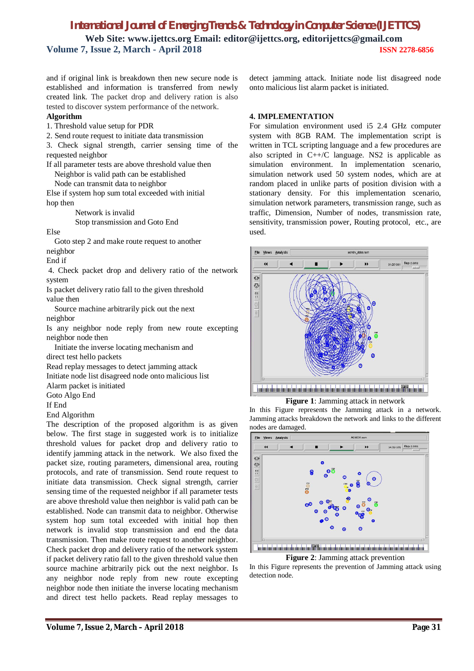and if original link is breakdown then new secure node is established and information is transferred from newly created link. The packet drop and delivery ration is also tested to discover system performance of the network.

## **Algorithm**

1. Threshold value setup for PDR

2. Send route request to initiate data transmission

3. Check signal strength, carrier sensing time of the requested neighbor

If all parameter tests are above threshold value then Neighbor is valid path can be established

Node can transmit data to neighbor

Else if system hop sum total exceeded with initial hop then

Network is invalid

Stop transmission and Goto End

Else

Goto step 2 and make route request to another neighbor

End if

4. Check packet drop and delivery ratio of the network system

Is packet delivery ratio fall to the given threshold value then

Source machine arbitrarily pick out the next neighbor

Is any neighbor node reply from new route excepting neighbor node then

Initiate the inverse locating mechanism and direct test hello packets

Read replay messages to detect jamming attack

Initiate node list disagreed node onto malicious list

Alarm packet is initiated

Goto Algo End

If End

End Algorithm

The description of the proposed algorithm is as given below. The first stage in suggested work is to initialize threshold values for packet drop and delivery ratio to identify jamming attack in the network. We also fixed the packet size, routing parameters, dimensional area, routing protocols, and rate of transmission. Send route request to initiate data transmission. Check signal strength, carrier sensing time of the requested neighbor if all parameter tests are above threshold value then neighbor is valid path can be established. Node can transmit data to neighbor. Otherwise system hop sum total exceeded with initial hop then network is invalid stop transmission and end the data transmission. Then make route request to another neighbor. Check packet drop and delivery ratio of the network system if packet delivery ratio fall to the given threshold value then source machine arbitrarily pick out the next neighbor. Is any neighbor node reply from new route excepting neighbor node then initiate the inverse locating mechanism and direct test hello packets. Read replay messages to

detect jamming attack. Initiate node list disagreed node onto malicious list alarm packet is initiated.

## **4. IMPLEMENTATION**

For simulation environment used i5 2.4 GHz computer system with 8GB RAM. The implementation script is written in TCL scripting language and a few procedures are also scripted in C++/C language. NS2 is applicable as simulation environment. In implementation scenario, simulation network used 50 system nodes, which are at random placed in unlike parts of position division with a stationary density. For this implementation scenario, simulation network parameters, transmission range, such as traffic, Dimension, Number of nodes, transmission rate, sensitivity, transmission power, Routing protocol, etc., are used.



**Figure 1**: Jamming attack in network

In this Figure represents the Jamming attack in a network. Jamming attacks breakdown the network and links to the different nodes are damaged.



**Figure 2**: Jamming attack prevention

In this Figure represents the prevention of Jamming attack using detection node.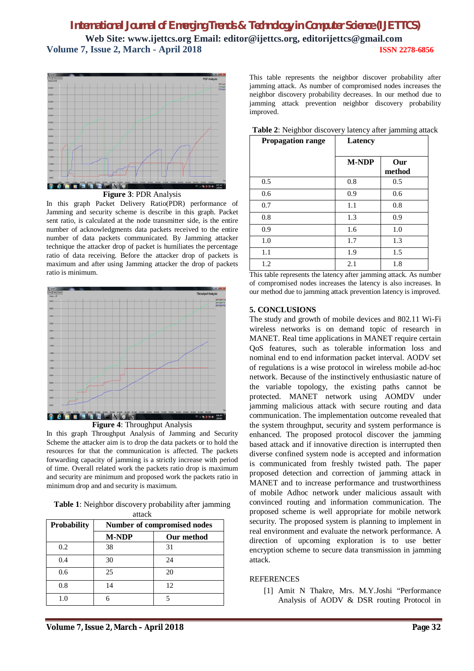

**Figure 3**: PDR Analysis

In this graph Packet Delivery Ratio(PDR) performance of Jamming and security scheme is describe in this graph. Packet sent ratio, is calculated at the node transmitter side, is the entire number of acknowledgments data packets received to the entire number of data packets communicated. By Jamming attacker technique the attacker drop of packet is humiliates the percentage ratio of data receiving. Before the attacker drop of packets is maximum and after using Jamming attacker the drop of packets ratio is minimum.



**Figure 4**: Throughput Analysis

In this graph Throughput Analysis of Jamming and Security Scheme the attacker aim is to drop the data packets or to hold the resources for that the communication is affected. The packets forwarding capacity of jamming is a strictly increase with period of time. Overall related work the packets ratio drop is maximum and security are minimum and proposed work the packets ratio in minimum drop and and security is maximum.

**Table 1**: Neighbor discovery probability after jamming attack

| <b>Probability</b> | Number of compromised nodes |            |
|--------------------|-----------------------------|------------|
|                    | <b>M-NDP</b>                | Our method |
| 0.2                | 38                          | 31         |
| 0.4                | 30                          | 24         |
| 0.6                | 25                          | 20         |
| 0.8                | 14                          | 12         |
| 1.0                |                             |            |

This table represents the neighbor discover probability after jamming attack. As number of compromised nodes increases the neighbor discovery probability decreases. In our method due to jamming attack prevention neighbor discovery probability improved.

| <b>Propagation range</b> | Latency      |               |
|--------------------------|--------------|---------------|
|                          | <b>M-NDP</b> | Our<br>method |
| 0.5                      | 0.8          | 0.5           |
| 0.6                      | 0.9          | 0.6           |
| 0.7                      | 1.1          | 0.8           |
| 0.8                      | 1.3          | 0.9           |
| 0.9                      | 1.6          | 1.0           |
| 1.0                      | 1.7          | 1.3           |
| 1.1                      | 1.9          | 1.5           |
| 1.2                      | 2.1          | 1.8           |

**Table 2**: Neighbor discovery latency after jamming attack

This table represents the latency after jamming attack. As number of compromised nodes increases the latency is also increases. In our method due to jamming attack prevention latency is improved.

## **5. CONCLUSIONS**

The study and growth of mobile devices and 802.11 Wi-Fi wireless networks is on demand topic of research in MANET. Real time applications in MANET require certain QoS features, such as tolerable information loss and nominal end to end information packet interval. AODV set of regulations is a wise protocol in wireless mobile ad-hoc network. Because of the instinctively enthusiastic nature of the variable topology, the existing paths cannot be protected. MANET network using AOMDV under jamming malicious attack with secure routing and data communication. The implementation outcome revealed that the system throughput, security and system performance is enhanced. The proposed protocol discover the jamming based attack and if innovative direction is interrupted then diverse confined system node is accepted and information is communicated from freshly twisted path. The paper proposed detection and correction of jamming attack in MANET and to increase performance and trustworthiness of mobile Adhoc network under malicious assault with convinced routing and information communication. The proposed scheme is well appropriate for mobile network security. The proposed system is planning to implement in real environment and evaluate the network performance. A direction of upcoming exploration is to use better encryption scheme to secure data transmission in jamming attack.

## **REFERENCES**

[1] Amit N Thakre, Mrs. M.Y.Joshi "Performance Analysis of AODV & DSR routing Protocol in